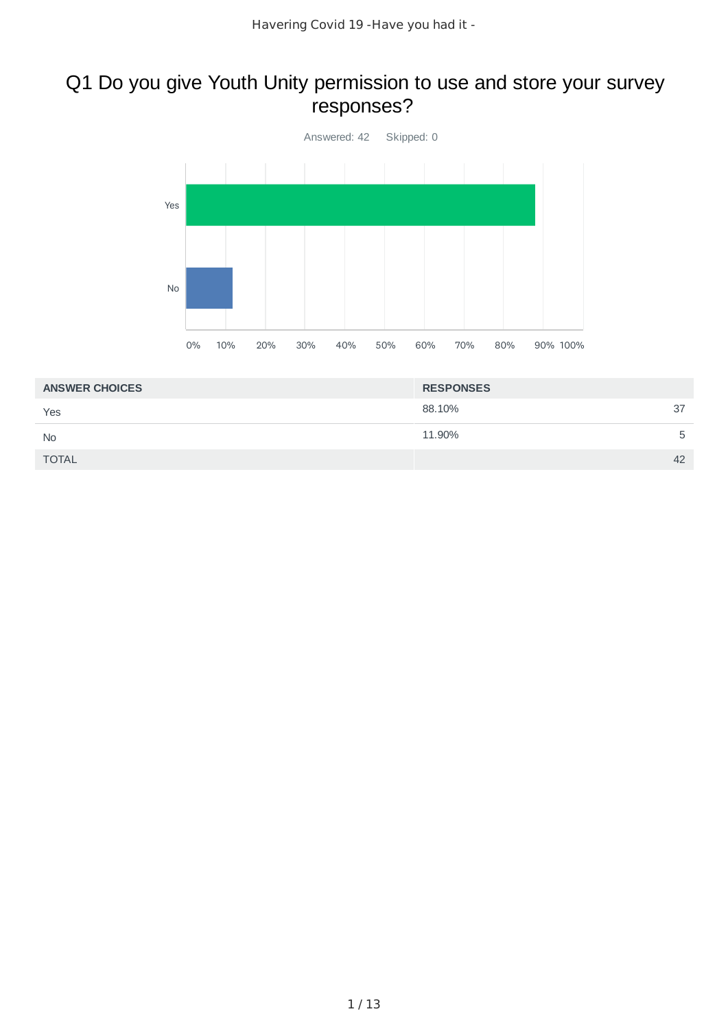### Q1 Do you give Youth Unity permission to use and store your survey responses?



| <b>ANSWER CHOICES</b> | <b>RESPONSES</b> |    |
|-----------------------|------------------|----|
| Yes                   | 88.10%           | 37 |
| <b>No</b>             | 11.90%           | 5  |
| <b>TOTAL</b>          |                  | 42 |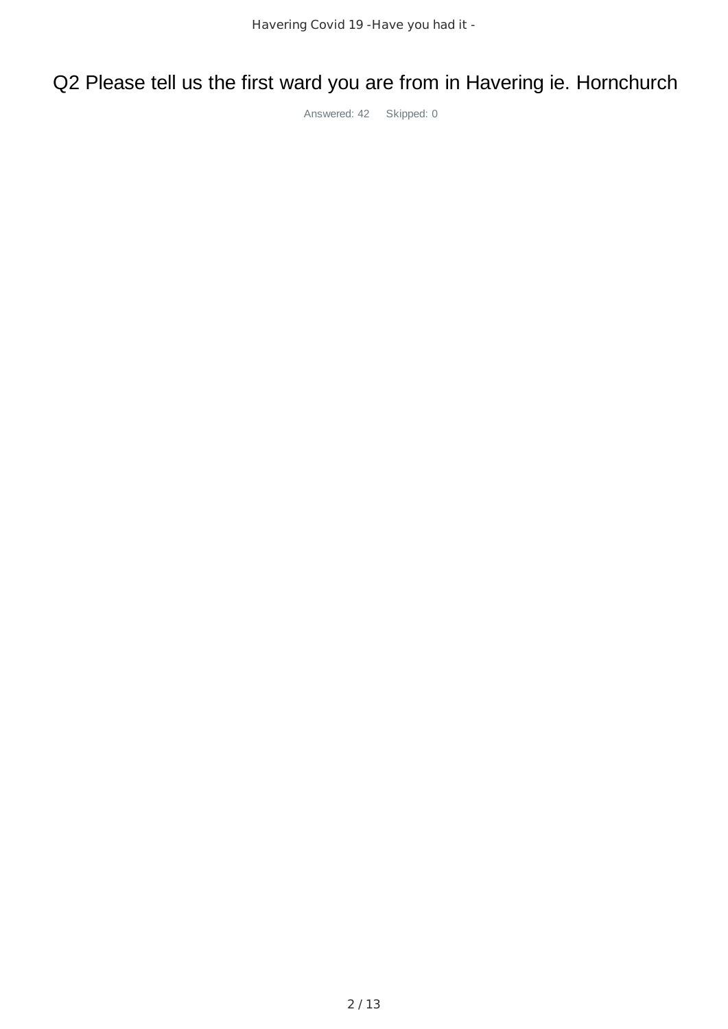Q2 Please tell us the first ward you are from in Havering ie. Hornchurch

Answered: 42 Skipped: 0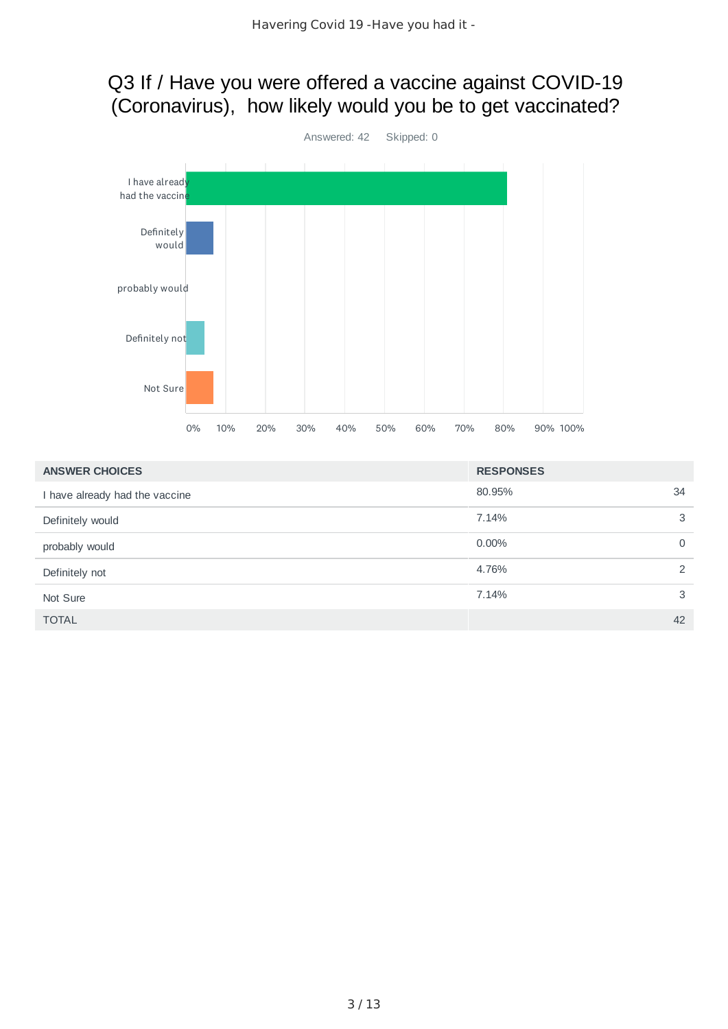### Q3 If / Have you were offered a vaccine against COVID-19 (Coronavirus), how likely would you be to get vaccinated?



| <b>ANSWER CHOICES</b>          | <b>RESPONSES</b>  |
|--------------------------------|-------------------|
| I have already had the vaccine | 80.95%<br>34      |
| Definitely would               | 3<br>7.14%        |
| probably would                 | 0.00%<br>$\Omega$ |
| Definitely not                 | 4.76%<br>2        |
| Not Sure                       | 3<br>7.14%        |
| <b>TOTAL</b>                   | 42                |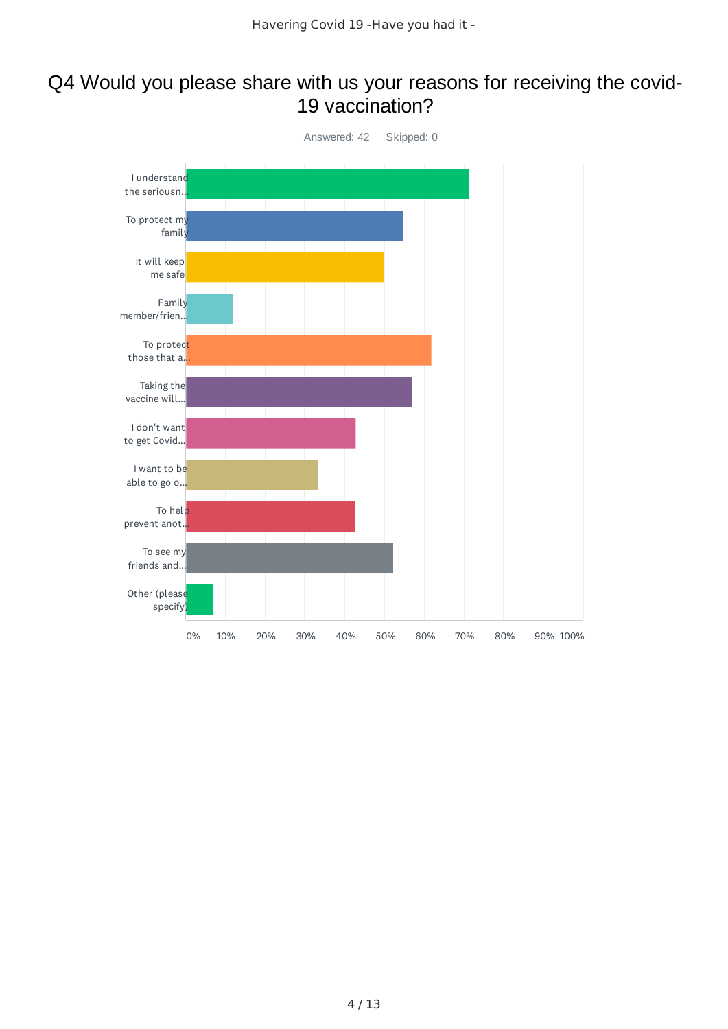#### Q4 Would you please share with us your reasons for receiving the covid-19 vaccination?

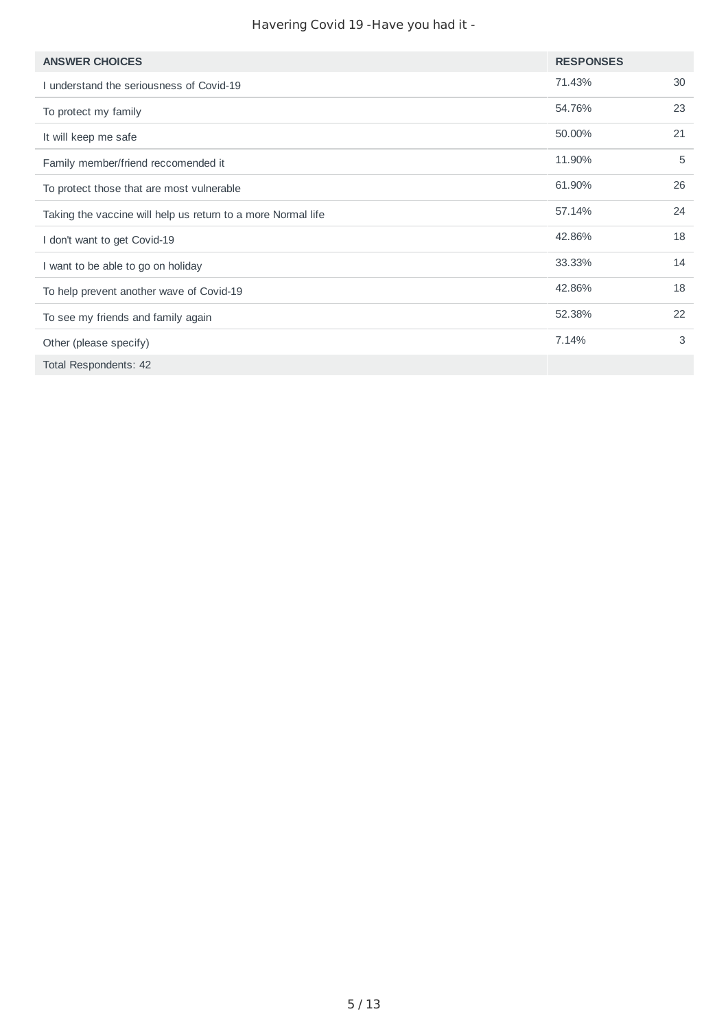#### Havering Covid 19 -Have you had it -

| <b>ANSWER CHOICES</b>                                        | <b>RESPONSES</b> |    |
|--------------------------------------------------------------|------------------|----|
| I understand the seriousness of Covid-19                     | 71.43%           | 30 |
| To protect my family                                         | 54.76%           | 23 |
| It will keep me safe                                         | 50.00%           | 21 |
| Family member/friend reccomended it                          | 11.90%           | 5  |
| To protect those that are most vulnerable                    | 61.90%           | 26 |
| Taking the vaccine will help us return to a more Normal life | 57.14%           | 24 |
| I don't want to get Covid-19                                 | 42.86%           | 18 |
| I want to be able to go on holiday                           | 33.33%           | 14 |
| To help prevent another wave of Covid-19                     | 42.86%           | 18 |
| To see my friends and family again                           | 52.38%           | 22 |
| Other (please specify)                                       | 7.14%            | 3  |
| Total Respondents: 42                                        |                  |    |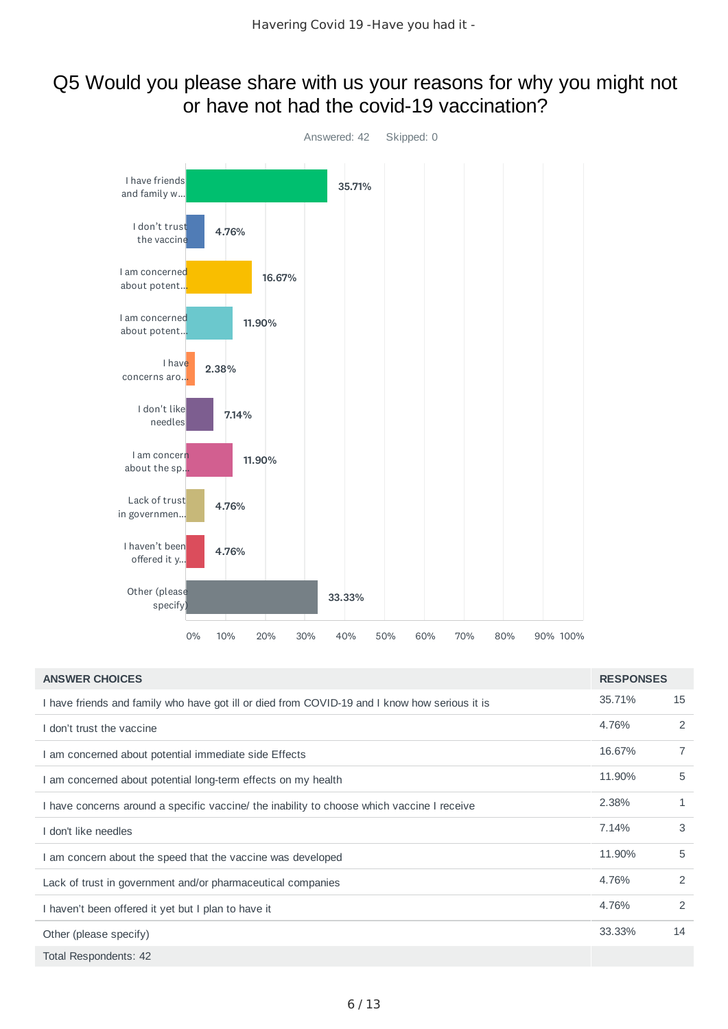#### Q5 Would you please share with us your reasons for why you might not or have not had the covid-19 vaccination?



| <b>ANSWER CHOICES</b>                                                                         | <b>RESPONSES</b> |    |
|-----------------------------------------------------------------------------------------------|------------------|----|
| I have friends and family who have got ill or died from COVID-19 and I know how serious it is | 35.71%           | 15 |
| I don't trust the vaccine                                                                     | 4.76%            | 2  |
| I am concerned about potential immediate side Effects                                         | 16.67%           | 7  |
| I am concerned about potential long-term effects on my health                                 | 11.90%           | 5  |
| I have concerns around a specific vaccine/ the inability to choose which vaccine I receive    | 2.38%            | 1  |
| I don't like needles                                                                          | 7.14%            | 3  |
| I am concern about the speed that the vaccine was developed                                   | 11.90%           | 5  |
| Lack of trust in government and/or pharmaceutical companies                                   | 4.76%            | 2  |
| I haven't been offered it yet but I plan to have it                                           | 4.76%            | 2  |
| Other (please specify)                                                                        | 33.33%           | 14 |
| Total Respondents: 42                                                                         |                  |    |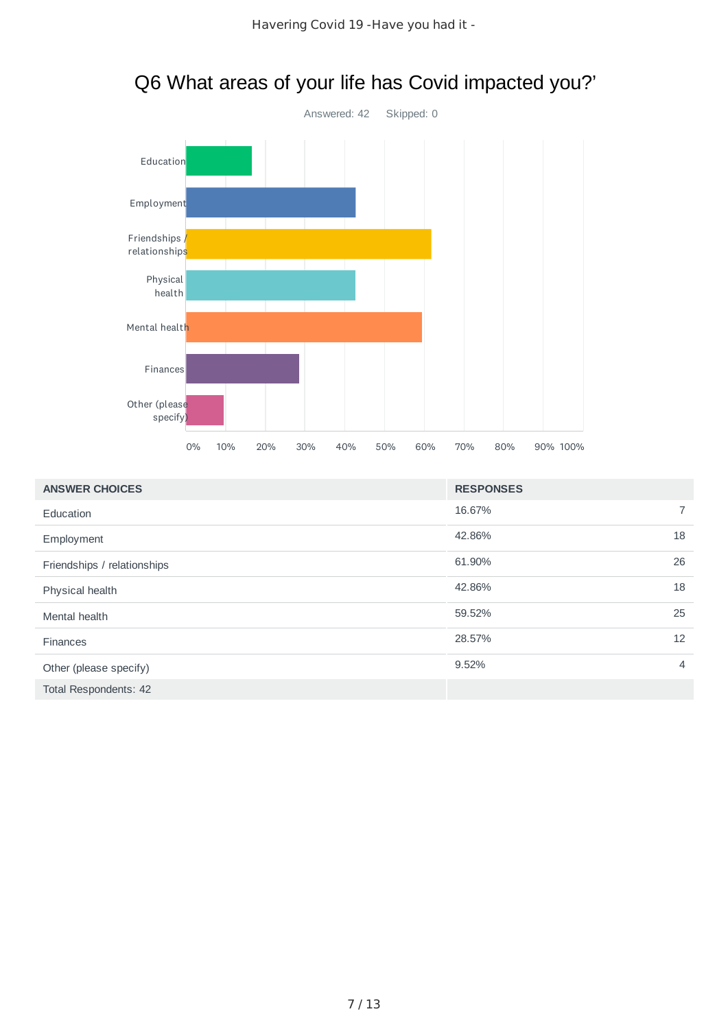

| Q6 What areas of your life has Covid impacted you?' |  |  |  |
|-----------------------------------------------------|--|--|--|
|-----------------------------------------------------|--|--|--|

| <b>ANSWER CHOICES</b>        | <b>RESPONSES</b> |    |
|------------------------------|------------------|----|
| Education                    | 16.67%           |    |
| Employment                   | 42.86%           | 18 |
| Friendships / relationships  | 61.90%           | 26 |
| Physical health              | 42.86%           | 18 |
| Mental health                | 59.52%           | 25 |
| <b>Finances</b>              | 28.57%           | 12 |
| Other (please specify)       | 9.52%            | 4  |
| <b>Total Respondents: 42</b> |                  |    |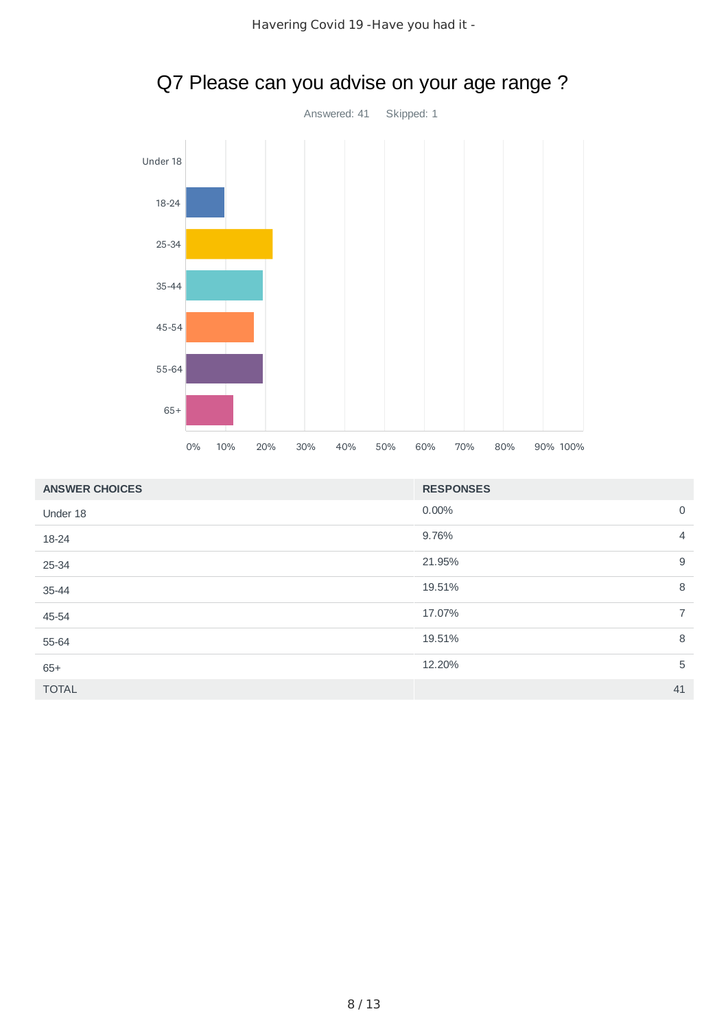

# Q7 Please can you advise on your age range ?

| <b>ANSWER CHOICES</b> | <b>RESPONSES</b> |                |
|-----------------------|------------------|----------------|
| Under 18              | 0.00%            | $\mathsf{O}$   |
| 18-24                 | 9.76%            | $\overline{4}$ |
| 25-34                 | 21.95%           | $9\,$          |
| 35-44                 | 19.51%           | 8              |
| 45-54                 | 17.07%           | $\overline{7}$ |
| 55-64                 | 19.51%           | 8              |
| $65+$                 | 12.20%           | 5              |
| <b>TOTAL</b>          |                  | 41             |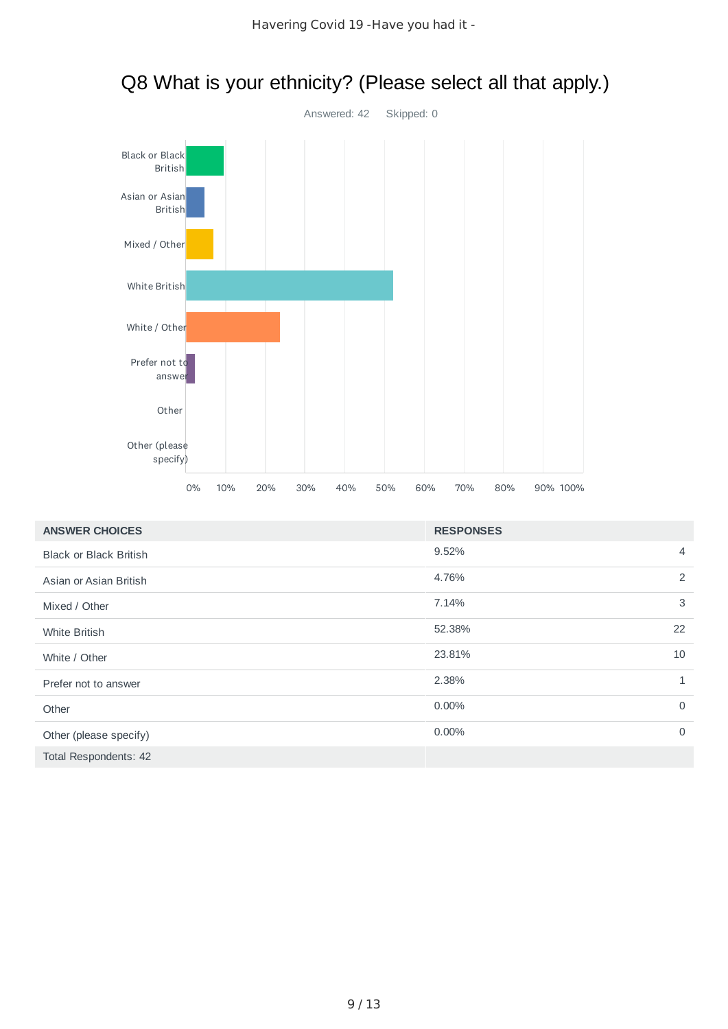

# Q8 What is your ethnicity? (Please select all that apply.)

| <b>ANSWER CHOICES</b>         | <b>RESPONSES</b> |                |
|-------------------------------|------------------|----------------|
| <b>Black or Black British</b> | 9.52%            | $\overline{4}$ |
| Asian or Asian British        | 4.76%            | 2              |
| Mixed / Other                 | 7.14%            | 3              |
| <b>White British</b>          | 52.38%           | 22             |
| White / Other                 | 23.81%           | 10             |
| Prefer not to answer          | 2.38%            | $\mathbf{1}$   |
| Other                         | $0.00\%$         | $\mathbf 0$    |
| Other (please specify)        | $0.00\%$         | $\mathbf 0$    |
| Total Respondents: 42         |                  |                |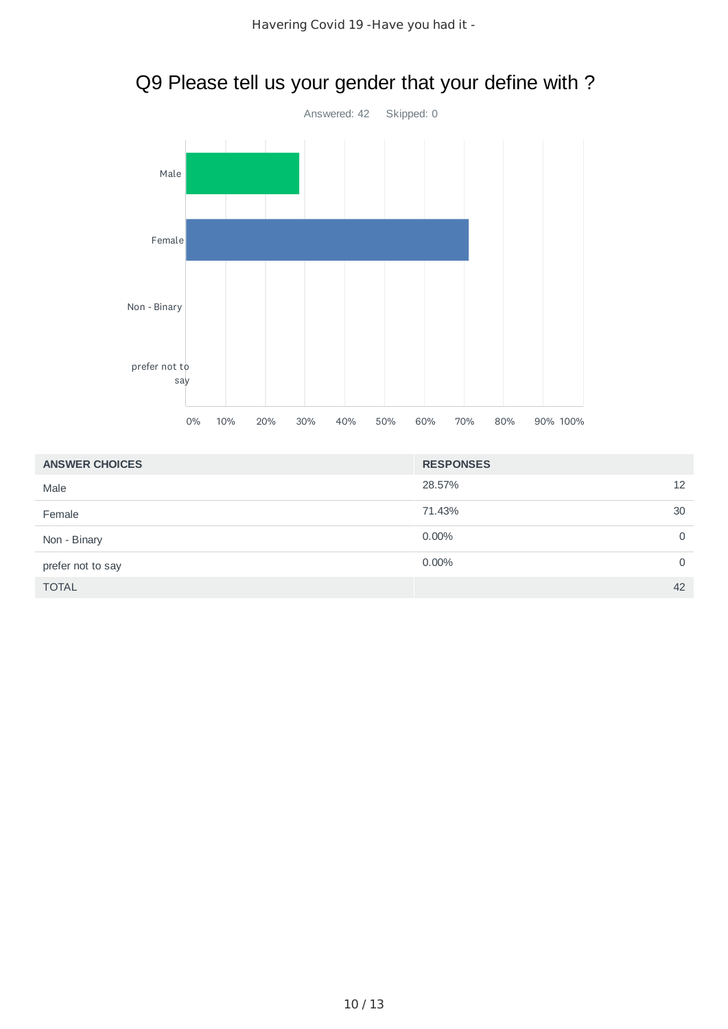

## Q9 Please tell us your gender that your define with ?

| <b>ANSWER CHOICES</b> | <b>RESPONSES</b> |    |
|-----------------------|------------------|----|
| Male                  | 28.57%           | 12 |
| Female                | 71.43%           | 30 |
| Non - Binary          | 0.00%            | 0  |
| prefer not to say     | $0.00\%$         | 0  |
| <b>TOTAL</b>          |                  | 42 |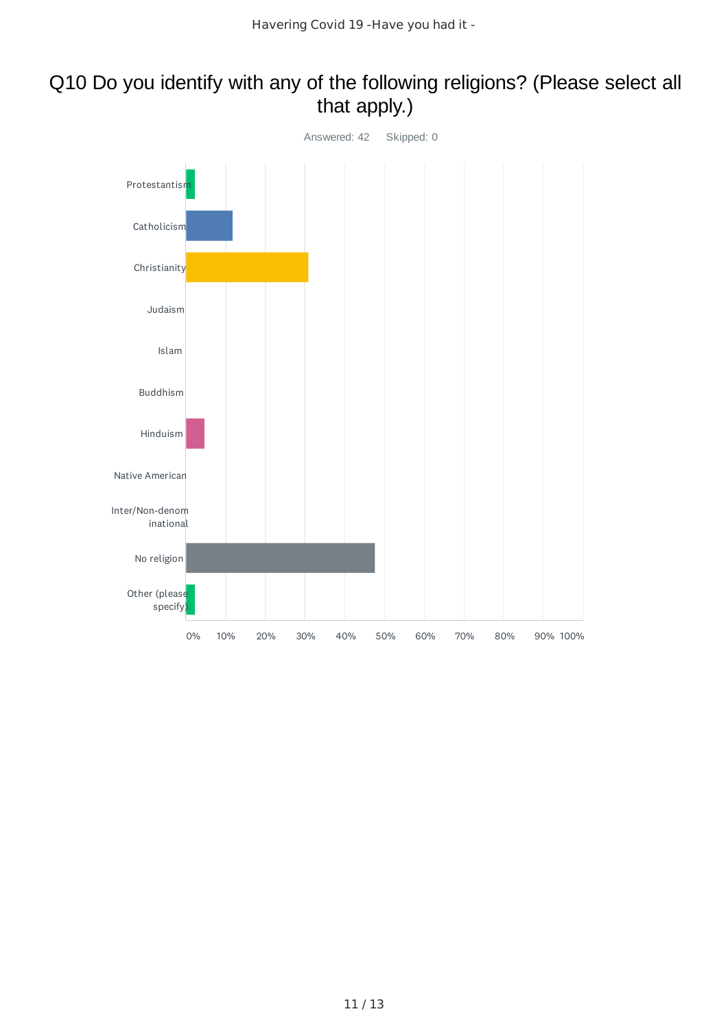### Q10 Do you identify with any of the following religions? (Please select all that apply.)

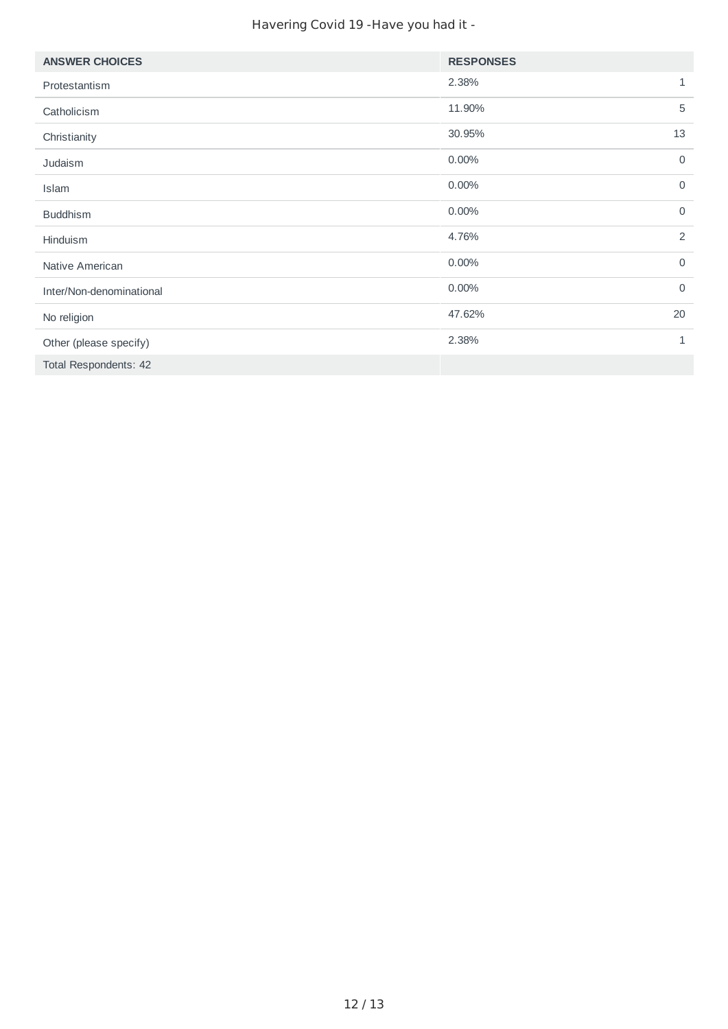#### Havering Covid 19 -Have you had it -

| <b>ANSWER CHOICES</b>    | <b>RESPONSES</b> |                |
|--------------------------|------------------|----------------|
| Protestantism            | 2.38%            | 1              |
| Catholicism              | 11.90%           | 5              |
| Christianity             | 30.95%           | 13             |
| Judaism                  | 0.00%            | $\mathsf{O}$   |
| Islam                    | 0.00%            | $\mathbf 0$    |
| <b>Buddhism</b>          | 0.00%            | $\mathbf 0$    |
| Hinduism                 | 4.76%            | $\overline{2}$ |
| Native American          | 0.00%            | $\mathbf 0$    |
| Inter/Non-denominational | 0.00%            | $\mathsf{O}$   |
| No religion              | 47.62%           | 20             |
| Other (please specify)   | 2.38%            | 1              |
| Total Respondents: 42    |                  |                |